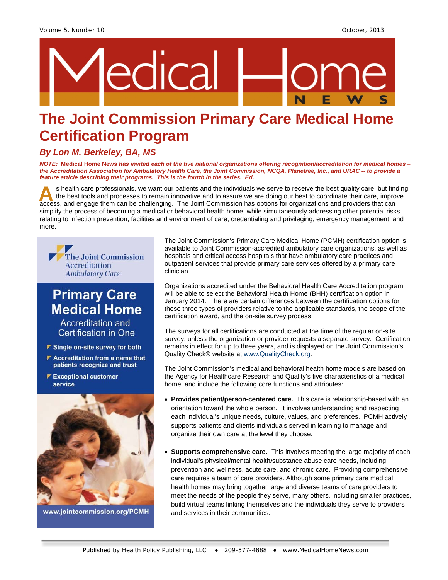

# **The Joint Commission Primary Care Medical Home Certification Program**

### *By Lon M. Berkeley, BA, MS*

*NOTE:* **Medical Home News** *has invited each of the five national organizations offering recognition/accreditation for medical homes – the Accreditation Association for Ambulatory Health Care, the Joint Commission, NCQA, Planetree, Inc., and URAC -- to provide a feature article describing their programs. This is the fourth in the series. Ed.*

s health care professionals, we want our patients and the individuals we serve to receive the best quality care, but finding the best tools and processes to remain innovative and to assure we are doing our best to coordinate their care, improve s health care professionals, we want our patients and the individuals we serve to receive the best quality care, but find<br>the best tools and processes to remain innovative and to assure we are doing our best to coordinate simplify the process of becoming a medical or behavioral health home, while simultaneously addressing other potential risks relating to infection prevention, facilities and environment of care, credentialing and privileging, emergency management, and more.



## **Primary Care Medical Home**

Accreditation and **Certification in One** 

- ▼ Single on-site survey for both
- ▶ Accreditation from a name that patients recognize and trust
- **▶ Exceptional customer** service



www.jointcommission.org/PCMH

The Joint Commission's Primary Care Medical Home (PCMH) certification option is available to Joint Commission-accredited ambulatory care organizations, as well as hospitals and critical access hospitals that have ambulatory care practices and outpatient services that provide primary care services offered by a primary care clinician.

Organizations accredited under the Behavioral Health Care Accreditation program will be able to select the Behavioral Health Home (BHH) certification option in January 2014. There are certain differences between the certification options for these three types of providers relative to the applicable standards, the scope of the certification award, and the on-site survey process.

The surveys for all certifications are conducted at the time of the regular on-site survey, unless the organization or provider requests a separate survey. Certification remains in effect for up to three years, and is displayed on the Joint Commission's Quality Check® website at [www.QualityCheck.org.](http://www.qualitycheck.org/)

The Joint Commission's medical and behavioral health home models are based on the Agency for Healthcare Research and Quality's five characteristics of a medical home, and include the following core functions and attributes:

- **Provides patient/person-centered care.** This care is relationship-based with an orientation toward the whole person. It involves understanding and respecting each individual's unique needs, culture, values, and preferences. PCMH actively supports patients and clients individuals served in learning to manage and organize their own care at the level they choose.
- **Supports comprehensive care.** This involves meeting the large majority of each individual's physical/mental health/substance abuse care needs, including prevention and wellness, acute care, and chronic care. Providing comprehensive care requires a team of care providers. Although some primary care medical health homes may bring together large and diverse teams of care providers to meet the needs of the people they serve, many others, including smaller practices, build virtual teams linking themselves and the individuals they serve to providers and services in their communities.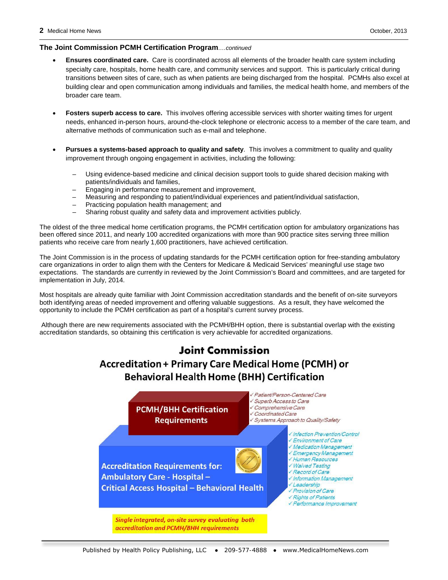#### **The Joint Commission PCMH Certification Program***….continued*

- **Ensures coordinated care.** Care is coordinated across all elements of the broader health care system including specialty care, hospitals, home health care, and community services and support. This is particularly critical during transitions between sites of care, such as when patients are being discharged from the hospital. PCMHs also excel at building clear and open communication among individuals and families, the medical health home, and members of the broader care team.
- **Fosters superb access to care.** This involves offering accessible services with shorter waiting times for urgent needs, enhanced in-person hours, around-the-clock telephone or electronic access to a member of the care team, and alternative methods of communication such as e-mail and telephone.
- **Pursues a systems-based approach to quality and safety**. This involves a commitment to quality and quality improvement through ongoing engagement in activities, including the following:
	- Using evidence-based medicine and clinical decision support tools to guide shared decision making with patients/individuals and families,
	- Engaging in performance measurement and improvement,
	- Measuring and responding to patient/individual experiences and patient/individual satisfaction,
	- Practicing population health management; and
	- Sharing robust quality and safety data and improvement activities publicly.

The oldest of the three medical home certification programs, the PCMH certification option for ambulatory organizations has been offered since 2011, and nearly 100 accredited organizations with more than 900 practice sites serving three million patients who receive care from nearly 1,600 practitioners, have achieved certification.

The Joint Commission is in the process of updating standards for the PCMH certification option for free-standing ambulatory care organizations in order to align them with the Centers for Medicare & Medicaid Services' meaningful use stage two expectations. The standards are currently in reviewed by the Joint Commission's Board and committees, and are targeted for implementation in July, 2014.

Most hospitals are already quite familiar with Joint Commission accreditation standards and the benefit of on-site surveyors both identifying areas of needed improvement and offering valuable suggestions. As a result, they have welcomed the opportunity to include the PCMH certification as part of a hospital's current survey process.

Although there are new requirements associated with the PCMH/BHH option, there is substantial overlap with the existing accreditation standards, so obtaining this certification is very achievable for accredited organizations.

### **Joint Commission Accreditation + Primary Care Medical Home (PCMH) or Behavioral Health Home (BHH) Certification**